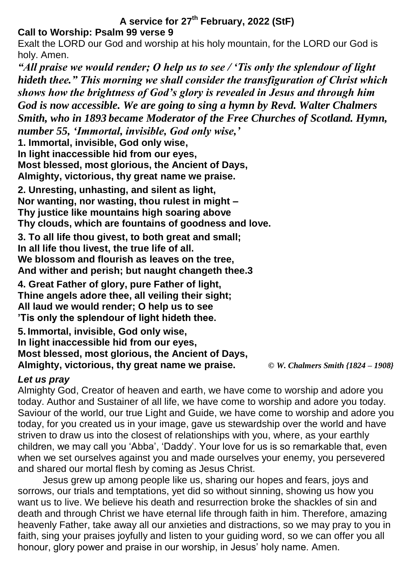# **A service for 27th February, 2022 (StF)**

## **Call to Worship: Psalm 99 verse 9**

Exalt the LORD our God and worship at his holy mountain, for the LORD our God is holy. Amen.

*"All praise we would render; O help us to see / 'Tis only the splendour of light hideth thee." This morning we shall consider the transfiguration of Christ which shows how the brightness of God's glory is revealed in Jesus and through him God is now accessible. We are going to sing a hymn by Revd. Walter Chalmers Smith, who in 1893 became Moderator of the Free Churches of Scotland. Hymn, number 55, 'Immortal, invisible, God only wise,'*

**1. Immortal, invisible, God only wise,**

**In light inaccessible hid from our eyes,**

**Most blessed, most glorious, the Ancient of Days,**

**Almighty, victorious, thy great name we praise.**

**2. Unresting, unhasting, and silent as light, Nor wanting, nor wasting, thou rulest in might – Thy justice like mountains high soaring above Thy clouds, which are fountains of goodness and love.**

**3. To all life thou givest, to both great and small; In all life thou livest, the true life of all. We blossom and flourish as leaves on the tree, And wither and perish; but naught changeth thee.3**

**4. Great Father of glory, pure Father of light, Thine angels adore thee, all veiling their sight; All laud we would render; O help us to see 'Tis only the splendour of light hideth thee. 5. Immortal, invisible, God only wise, In light inaccessible hid from our eyes,**

**Most blessed, most glorious, the Ancient of Days,**

**Almighty, victorious, thy great name we praise.** *© W. Chalmers Smith {1824 – 1908}*

### *Let us pray*

Almighty God, Creator of heaven and earth, we have come to worship and adore you today. Author and Sustainer of all life, we have come to worship and adore you today. Saviour of the world, our true Light and Guide, we have come to worship and adore you today, for you created us in your image, gave us stewardship over the world and have striven to draw us into the closest of relationships with you, where, as your earthly children, we may call you 'Abba', 'Daddy'. Your love for us is so remarkable that, even when we set ourselves against you and made ourselves your enemy, you persevered and shared our mortal flesh by coming as Jesus Christ.

Jesus grew up among people like us, sharing our hopes and fears, joys and sorrows, our trials and temptations, yet did so without sinning, showing us how you want us to live. We believe his death and resurrection broke the shackles of sin and death and through Christ we have eternal life through faith in him. Therefore, amazing heavenly Father, take away all our anxieties and distractions, so we may pray to you in faith, sing your praises joyfully and listen to your guiding word, so we can offer you all honour, glory power and praise in our worship, in Jesus' holy name. Amen.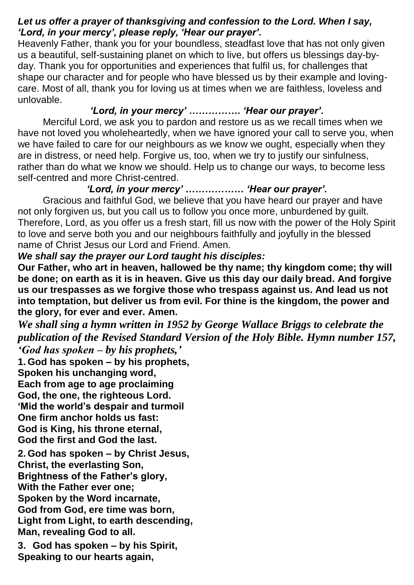#### *Let us offer a prayer of thanksgiving and confession to the Lord. When I say, 'Lord, in your mercy', please reply, 'Hear our prayer'.*

Heavenly Father, thank you for your boundless, steadfast love that has not only given us a beautiful, self-sustaining planet on which to live, but offers us blessings day-byday. Thank you for opportunities and experiences that fulfil us, for challenges that shape our character and for people who have blessed us by their example and lovingcare. Most of all, thank you for loving us at times when we are faithless, loveless and unlovable.

## *'Lord, in your mercy' ……………. 'Hear our prayer'.*

Merciful Lord, we ask you to pardon and restore us as we recall times when we have not loved you wholeheartedly, when we have ignored your call to serve you, when we have failed to care for our neighbours as we know we ought, especially when they are in distress, or need help. Forgive us, too, when we try to justify our sinfulness, rather than do what we know we should. Help us to change our ways, to become less self-centred and more Christ-centred.

# *'Lord, in your mercy' ……………… 'Hear our prayer'.*

Gracious and faithful God, we believe that you have heard our prayer and have not only forgiven us, but you call us to follow you once more, unburdened by guilt. Therefore, Lord, as you offer us a fresh start, fill us now with the power of the Holy Spirit to love and serve both you and our neighbours faithfully and joyfully in the blessed name of Christ Jesus our Lord and Friend. Amen.

## *We shall say the prayer our Lord taught his disciples:*

**Our Father, who art in heaven, hallowed be thy name; thy kingdom come; thy will be done; on earth as it is in heaven. Give us this day our daily bread. And forgive us our trespasses as we forgive those who trespass against us. And lead us not into temptation, but deliver us from evil. For thine is the kingdom, the power and the glory, for ever and ever. Amen.**

*We shall sing a hymn written in 1952 by George Wallace Briggs to celebrate the publication of the Revised Standard Version of the Holy Bible. Hymn number 157, 'God has spoken – by his prophets,'*

**1. God has spoken – by his prophets, Spoken his unchanging word, Each from age to age proclaiming God, the one, the righteous Lord. 'Mid the world's despair and turmoil One firm anchor holds us fast: God is King, his throne eternal, God the first and God the last.**

**2. God has spoken – by Christ Jesus, Christ, the everlasting Son, Brightness of the Father's glory, With the Father ever one; Spoken by the Word incarnate, God from God, ere time was born, Light from Light, to earth descending, Man, revealing God to all.**

**3. God has spoken – by his Spirit, Speaking to our hearts again,**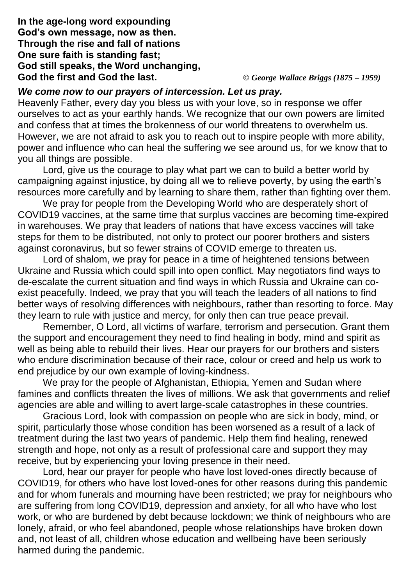**In the age-long word expounding God's own message, now as then. Through the rise and fall of nations One sure faith is standing fast; God still speaks, the Word unchanging, God the first and God the last.** *© George Wallace Briggs (1875 – 1959)*

#### *We come now to our prayers of intercession. Let us pray.*

Heavenly Father, every day you bless us with your love, so in response we offer ourselves to act as your earthly hands. We recognize that our own powers are limited and confess that at times the brokenness of our world threatens to overwhelm us. However, we are not afraid to ask you to reach out to inspire people with more ability, power and influence who can heal the suffering we see around us, for we know that to you all things are possible.

Lord, give us the courage to play what part we can to build a better world by campaigning against injustice, by doing all we to relieve poverty, by using the earth's resources more carefully and by learning to share them, rather than fighting over them.

We pray for people from the Developing World who are desperately short of COVID19 vaccines, at the same time that surplus vaccines are becoming time-expired in warehouses. We pray that leaders of nations that have excess vaccines will take steps for them to be distributed, not only to protect our poorer brothers and sisters against coronavirus, but so fewer strains of COVID emerge to threaten us.

Lord of shalom, we pray for peace in a time of heightened tensions between Ukraine and Russia which could spill into open conflict. May negotiators find ways to de-escalate the current situation and find ways in which Russia and Ukraine can coexist peacefully. Indeed, we pray that you will teach the leaders of all nations to find better ways of resolving differences with neighbours, rather than resorting to force. May they learn to rule with justice and mercy, for only then can true peace prevail.

Remember, O Lord, all victims of warfare, terrorism and persecution. Grant them the support and encouragement they need to find healing in body, mind and spirit as well as being able to rebuild their lives. Hear our prayers for our brothers and sisters who endure discrimination because of their race, colour or creed and help us work to end prejudice by our own example of loving-kindness.

We pray for the people of Afghanistan, Ethiopia, Yemen and Sudan where famines and conflicts threaten the lives of millions. We ask that governments and relief agencies are able and willing to avert large-scale catastrophes in these countries.

Gracious Lord, look with compassion on people who are sick in body, mind, or spirit, particularly those whose condition has been worsened as a result of a lack of treatment during the last two years of pandemic. Help them find healing, renewed strength and hope, not only as a result of professional care and support they may receive, but by experiencing your loving presence in their need.

Lord, hear our prayer for people who have lost loved-ones directly because of COVID19, for others who have lost loved-ones for other reasons during this pandemic and for whom funerals and mourning have been restricted; we pray for neighbours who are suffering from long COVID19, depression and anxiety, for all who have who lost work, or who are burdened by debt because lockdown; we think of neighbours who are lonely, afraid, or who feel abandoned, people whose relationships have broken down and, not least of all, children whose education and wellbeing have been seriously harmed during the pandemic.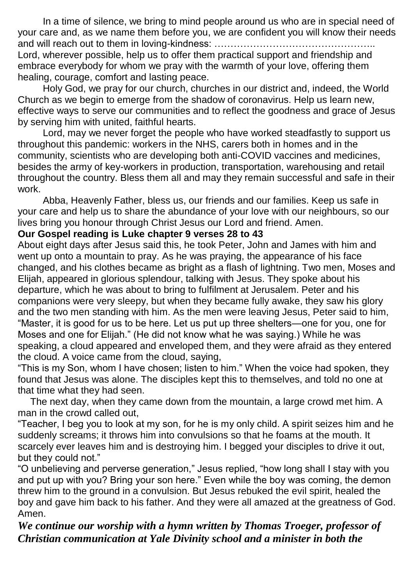In a time of silence, we bring to mind people around us who are in special need of your care and, as we name them before you, we are confident you will know their needs and will reach out to them in loving-kindness: ………………………………………….. Lord, wherever possible, help us to offer them practical support and friendship and embrace everybody for whom we pray with the warmth of your love, offering them healing, courage, comfort and lasting peace.

Holy God, we pray for our church, churches in our district and, indeed, the World Church as we begin to emerge from the shadow of coronavirus. Help us learn new, effective ways to serve our communities and to reflect the goodness and grace of Jesus by serving him with united, faithful hearts.

Lord, may we never forget the people who have worked steadfastly to support us throughout this pandemic: workers in the NHS, carers both in homes and in the community, scientists who are developing both anti-COVID vaccines and medicines, besides the army of key-workers in production, transportation, warehousing and retail throughout the country. Bless them all and may they remain successful and safe in their work.

Abba, Heavenly Father, bless us, our friends and our families. Keep us safe in your care and help us to share the abundance of your love with our neighbours, so our lives bring you honour through Christ Jesus our Lord and friend. Amen.

#### **Our Gospel reading is Luke chapter 9 verses 28 to 43**

About eight days after Jesus said this, he took Peter, John and James with him and went up onto a mountain to pray. As he was praying, the appearance of his face changed, and his clothes became as bright as a flash of lightning. Two men, Moses and Elijah, appeared in glorious splendour, talking with Jesus. They spoke about his departure, which he was about to bring to fulfilment at Jerusalem. Peter and his companions were very sleepy, but when they became fully awake, they saw his glory and the two men standing with him. As the men were leaving Jesus, Peter said to him, "Master, it is good for us to be here. Let us put up three shelters—one for you, one for Moses and one for Elijah." (He did not know what he was saying.) While he was speaking, a cloud appeared and enveloped them, and they were afraid as they entered the cloud. A voice came from the cloud, saying,

"This is my Son, whom I have chosen; listen to him." When the voice had spoken, they found that Jesus was alone. The disciples kept this to themselves, and told no one at that time what they had seen.

The next day, when they came down from the mountain, a large crowd met him. A man in the crowd called out,

"Teacher, I beg you to look at my son, for he is my only child. A spirit seizes him and he suddenly screams; it throws him into convulsions so that he foams at the mouth. It scarcely ever leaves him and is destroying him. I begged your disciples to drive it out, but they could not."

"O unbelieving and perverse generation," Jesus replied, "how long shall I stay with you and put up with you? Bring your son here." Even while the boy was coming, the demon threw him to the ground in a convulsion. But Jesus rebuked the evil spirit, healed the boy and gave him back to his father. And they were all amazed at the greatness of God. Amen.

## *We continue our worship with a hymn written by Thomas Troeger, professor of Christian communication at Yale Divinity school and a minister in both the*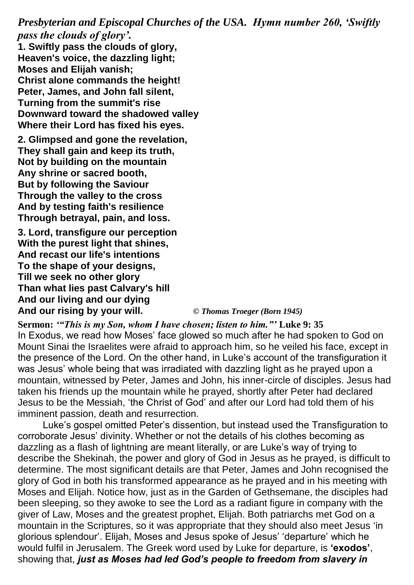*Presbyterian and Episcopal Churches of the USA. Hymn number 260, 'Swiftly pass the clouds of glory'.*

**1. Swiftly pass the clouds of glory, Heaven's voice, the dazzling light; Moses and Elijah vanish; Christ alone commands the height! Peter, James, and John fall silent, Turning from the summit's rise Downward toward the shadowed valley Where their Lord has fixed his eyes.**

**2. Glimpsed and gone the revelation, They shall gain and keep its truth, Not by building on the mountain Any shrine or sacred booth, But by following the Saviour Through the valley to the cross And by testing faith's resilience Through betrayal, pain, and loss.**

**3. Lord, transfigure our perception With the purest light that shines, And recast our life's intentions To the shape of your designs, Till we seek no other glory Than what lies past Calvary's hill And our living and our dying And our rising by your will.** *© Thomas Troeger (Born 1945)*

**Sermon:** *'"This is my Son, whom I have chosen; listen to him."'* **Luke 9: 35** In Exodus, we read how Moses' face glowed so much after he had spoken to God on Mount Sinai the Israelites were afraid to approach him, so he veiled his face, except in the presence of the Lord. On the other hand, in Luke's account of the transfiguration it was Jesus' whole being that was irradiated with dazzling light as he prayed upon a mountain, witnessed by Peter, James and John, his inner-circle of disciples. Jesus had taken his friends up the mountain while he prayed, shortly after Peter had declared Jesus to be the Messiah, 'the Christ of God' and after our Lord had told them of his imminent passion, death and resurrection.

Luke's gospel omitted Peter's dissention, but instead used the Transfiguration to corroborate Jesus' divinity. Whether or not the details of his clothes becoming as dazzling as a flash of lightning are meant literally, or are Luke's way of trying to describe the Shekinah, the power and glory of God in Jesus as he prayed, is difficult to determine. The most significant details are that Peter, James and John recognised the glory of God in both his transformed appearance as he prayed and in his meeting with Moses and Elijah. Notice how, just as in the Garden of Gethsemane, the disciples had been sleeping, so they awoke to see the Lord as a radiant figure in company with the giver of Law, Moses and the greatest prophet, Elijah. Both patriarchs met God on a mountain in the Scriptures, so it was appropriate that they should also meet Jesus 'in glorious splendour'. Elijah, Moses and Jesus spoke of Jesus' 'departure' which he would fulfil in Jerusalem. The Greek word used by Luke for departure, is **'exodos'**, showing that, *just as Moses had led God's people to freedom from slavery in*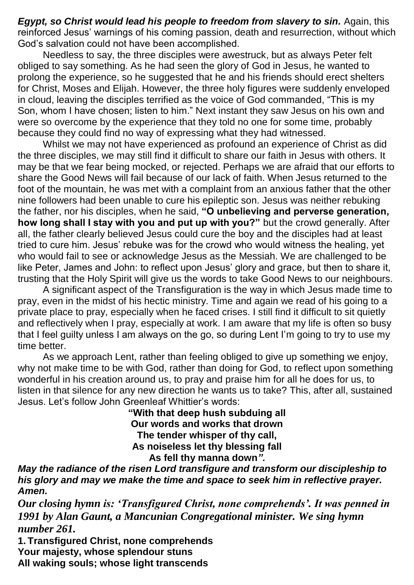*Egypt, so Christ would lead his people to freedom from slavery to sin.* Again, this reinforced Jesus' warnings of his coming passion, death and resurrection, without which God's salvation could not have been accomplished.

Needless to say, the three disciples were awestruck, but as always Peter felt obliged to say something. As he had seen the glory of God in Jesus, he wanted to prolong the experience, so he suggested that he and his friends should erect shelters for Christ, Moses and Elijah. However, the three holy figures were suddenly enveloped in cloud, leaving the disciples terrified as the voice of God commanded, "This is my Son, whom I have chosen; listen to him." Next instant they saw Jesus on his own and were so overcome by the experience that they told no one for some time, probably because they could find no way of expressing what they had witnessed.

Whilst we may not have experienced as profound an experience of Christ as did the three disciples, we may still find it difficult to share our faith in Jesus with others. It may be that we fear being mocked, or rejected. Perhaps we are afraid that our efforts to share the Good News will fail because of our lack of faith. When Jesus returned to the foot of the mountain, he was met with a complaint from an anxious father that the other nine followers had been unable to cure his epileptic son. Jesus was neither rebuking the father, nor his disciples, when he said, **"O unbelieving and perverse generation, how long shall I stay with you and put up with you?"** but the crowd generally. After all, the father clearly believed Jesus could cure the boy and the disciples had at least tried to cure him. Jesus' rebuke was for the crowd who would witness the healing, yet who would fail to see or acknowledge Jesus as the Messiah. We are challenged to be like Peter, James and John: to reflect upon Jesus' glory and grace, but then to share it, trusting that the Holy Spirit will give us the words to take Good News to our neighbours.

A significant aspect of the Transfiguration is the way in which Jesus made time to pray, even in the midst of his hectic ministry. Time and again we read of his going to a private place to pray, especially when he faced crises. I still find it difficult to sit quietly and reflectively when I pray, especially at work. I am aware that my life is often so busy that I feel guilty unless I am always on the go, so during Lent I'm going to try to use my time better.

As we approach Lent, rather than feeling obliged to give up something we enjoy, why not make time to be with God, rather than doing for God, to reflect upon something wonderful in his creation around us, to pray and praise him for all he does for us, to listen in that silence for any new direction he wants us to take? This, after all, sustained Jesus. Let's follow John Greenleaf Whittier's words:

> **"With that deep hush subduing all Our words and works that drown The tender whisper of thy call, As noiseless let thy blessing fall As fell thy manna down***".*

*May the radiance of the risen Lord transfigure and transform our discipleship to his glory and may we make the time and space to seek him in reflective prayer. Amen.*

*Our closing hymn is: 'Transfigured Christ, none comprehends'. It was penned in 1991 by Alan Gaunt, a Mancunian Congregational minister. We sing hymn number 261.*

**1. Transfigured Christ, none comprehends Your majesty, whose splendour stuns All waking souls; whose light transcends**